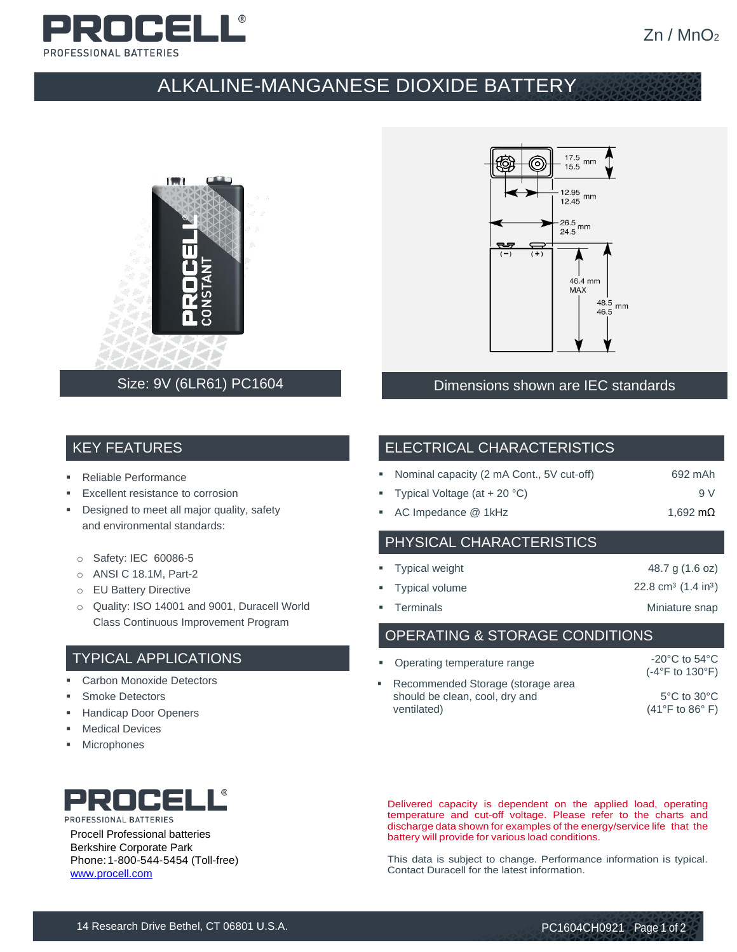

## ALKALINE-MANGANESE DIOXIDE BATTERY





### Size: 9V (6LR61) PC1604 **Dimensions shown are IEC standards**

#### KEY FEATURES

- **Reliable Performance**
- Excellent resistance to corrosion
- **•** Designed to meet all major quality, safety and environmental standards:
	- o Safety: IEC 60086-5
- o ANSI C 18.1M, Part-2
- o EU Battery Directive
- o Quality: ISO 14001 and 9001, Duracell World Class Continuous Improvement Program

#### TYPICAL APPLICATIONS

- Carbon Monoxide Detectors
- **Smoke Detectors**
- **Handicap Door Openers**
- **Medical Devices**
- **Microphones**



| • Nominal capacity (2 mA Cont., 5V cut-off)                                                                                                                                                                                                                                                      | 692 mAh |
|--------------------------------------------------------------------------------------------------------------------------------------------------------------------------------------------------------------------------------------------------------------------------------------------------|---------|
| $T_{\text{total}}$ $\sim$ 1 $\sim$ 1 $\sim$ 0 $\sim$ 1 $\sim$ 0 $\sim$ 0 $\sim$ 1 $\sim$ 0 $\sim$ 0 $\sim$ 1 $\sim$ 0 $\sim$ 1 $\sim$ 0 $\sim$ 1 $\sim$ 0 $\sim$ 1 $\sim$ 0 $\sim$ 1 $\sim$ 1 $\sim$ 1 $\sim$ 1 $\sim$ 1 $\sim$ 1 $\sim$ 1 $\sim$ 1 $\sim$ 1 $\sim$ 1 $\sim$ 1 $\sim$ 1 $\sim$ 1 |         |

- Typical Voltage (at + 20 °C)  $\hskip1cm \hskip1cm 9$  V
- AC Impedance @ 1kHz 1,692 mΩ

#### PHYSICAL CHARACTERISTICS

| ■ Typical weight | 48.7 g (1.6 oz)                           |
|------------------|-------------------------------------------|
| " Typical volume | 22.8 cm <sup>3</sup> $(1.4 \text{ in}^3)$ |
| ■ Terminals      | Miniature snap                            |

OPERATING & STORAGE CONDITIONS

| • Operating temperature range                                                        | $-20^{\circ}$ C to 54 $^{\circ}$ C<br>$(-4°F to 130°F)$                |
|--------------------------------------------------------------------------------------|------------------------------------------------------------------------|
| • Recommended Storage (storage area<br>should be clean, cool, dry and<br>ventilated) | $5^{\circ}$ C to $30^{\circ}$ C<br>$(41^{\circ}$ F to 86 $^{\circ}$ F) |



Procell Professional batteries Berkshire Corporate Park Phone:1-800-544-5454 (Toll-free) [www.procell.com](http://www.procell.com/)

Delivered capacity is dependent on the applied load, operating temperature and cut-off voltage. Please refer to the charts and discharge data shown for examples of the energy/service life that the battery will provide for various load conditions.

This data is subject to change. Performance information is typical. Contact Duracell for the latest information.